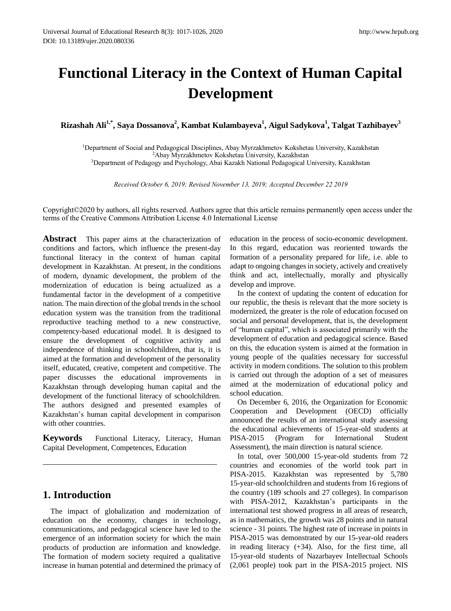# **Functional Literacy in the Context of Human Capital Development**

**Rizashah Ali1,\* , Saya Dossanova<sup>2</sup> , Kambat Kulambayeva<sup>1</sup> , Aigul Sadykova<sup>1</sup> , Talgat Tazhibayev<sup>3</sup>**

<sup>1</sup>Department of Social and Pedagogical Disciplines, Abay Myrzakhmetov Kokshetau University, Kazakhstan <sup>2</sup>Abay Myrzakhmetov Kokshetau University, Kazakhstan <sup>3</sup>Department of Pedagogy and Psychology, Abai Kazakh National Pedagogical University, Kazakhstan

*Received October 6, 2019; Revised November 13, 2019; Accepted December 22 2019*

Copyright©2020 by authors, all rights reserved. Authors agree that this article remains permanently open access under the terms of the Creative Commons Attribution License 4.0 International License

**Abstract** This paper aims at the characterization of conditions and factors, which influence the present-day functional literacy in the context of human capital development in Kazakhstan. At present, in the conditions of modern, dynamic development, the problem of the modernization of education is being actualized as a fundamental factor in the development of a competitive nation. The main direction of the global trends in the school education system was the transition from the traditional reproductive teaching method to a new constructive, competency-based educational model. It is designed to ensure the development of cognitive activity and independence of thinking in schoolchildren, that is, it is aimed at the formation and development of the personality itself, educated, creative, competent and competitive. The paper discusses the educational improvements in Kazakhstan through developing human capital and the development of the functional literacy of schoolchildren. The authors designed and presented examples of Kazakhstan's human capital development in comparison with other countries.

**Keywords** Functional Literacy, Literacy, Human Capital Development, Competences, Education

## **1. Introduction**

The impact of globalization and modernization of education on the economy, changes in technology, communications, and pedagogical science have led to the emergence of an information society for which the main products of production are information and knowledge. The formation of modern society required a qualitative increase in human potential and determined the primacy of education in the process of socio-economic development. In this regard, education was reoriented towards the formation of a personality prepared for life, i.e. able to adapt to ongoing changes in society, actively and creatively think and act, intellectually, morally and physically develop and improve.

In the context of updating the content of education for our republic, the thesis is relevant that the more society is modernized, the greater is the role of education focused on social and personal development, that is, the development of "human capital", which is associated primarily with the development of education and pedagogical science. Based on this, the education system is aimed at the formation in young people of the qualities necessary for successful activity in modern conditions. The solution to this problem is carried out through the adoption of a set of measures aimed at the modernization of educational policy and school education.

On December 6, 2016, the Organization for Economic Cooperation and Development (OECD) officially announced the results of an international study assessing the educational achievements of 15-year-old students at PISA-2015 (Program for International Student Assessment), the main direction is natural science.

In total, over 500,000 15-year-old students from 72 countries and economies of the world took part in PISA-2015. Kazakhstan was represented by 5,780 15-year-old schoolchildren and students from 16 regions of the country (189 schools and 27 colleges). In comparison with PISA-2012, Kazakhstan's participants in the international test showed progress in all areas of research, as in mathematics, the growth was 28 points and in natural science - 31 points. The highest rate of increase in points in PISA-2015 was demonstrated by our 15-year-old readers in reading literacy (+34). Also, for the first time, all 15-year-old students of Nazarbayev Intellectual Schools (2,061 people) took part in the PISA-2015 project. NIS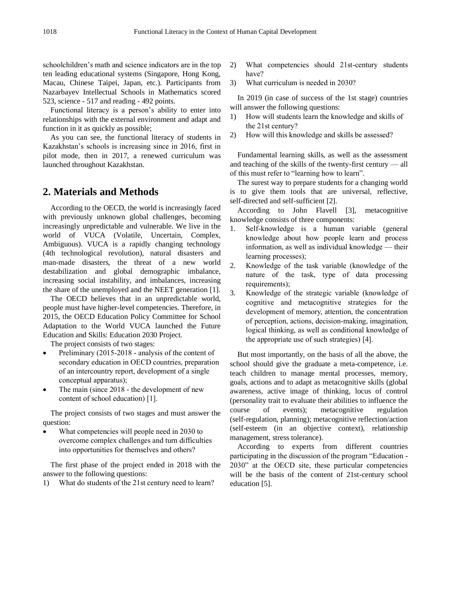schoolchildren's math and science indicators are in the top ten leading educational systems (Singapore, Hong Kong, Macau, Chinese Taipei, Japan, etc.). Participants from Nazarbayev Intellectual Schools in Mathematics scored 523, science - 517 and reading - 492 points.

Functional literacy is a person's ability to enter into relationships with the external environment and adapt and function in it as quickly as possible;

As you can see, the functional literacy of students in Kazakhstan's schools is increasing since in 2016, first in pilot mode, then in 2017, a renewed curriculum was launched throughout Kazakhstan.

## **2. Materials and Methods**

According to the OECD, the world is increasingly faced with previously unknown global challenges, becoming increasingly unpredictable and vulnerable. We live in the world of VUCA (Volatile, Uncertain, Complex, Ambiguous). VUCA is a rapidly changing technology (4th technological revolution), natural disasters and man-made disasters, the threat of a new world destabilization and global demographic imbalance, increasing social instability, and imbalances, increasing the share of the unemployed and the NEET generation [1].

The OECD believes that in an unpredictable world, people must have higher-level competencies. Therefore, in 2015, the OECD Education Policy Committee for School Adaptation to the World VUCA launched the Future Education and Skills: Education 2030 Project.

The project consists of two stages:

- Preliminary (2015-2018 analysis of the content of secondary education in OECD countries, preparation of an intercountry report, development of a single conceptual apparatus);
- The main (since 2018 the development of new content of school education) [1].

The project consists of two stages and must answer the question:

What competencies will people need in 2030 to overcome complex challenges and turn difficulties into opportunities for themselves and others?

The first phase of the project ended in 2018 with the answer to the following questions:

1) What do students of the 21st century need to learn?

- 2) What competencies should 21st-century students have?
- 3) What curriculum is needed in 2030?

In 2019 (in case of success of the 1st stage) countries will answer the following questions:

- 1) How will students learn the knowledge and skills of the 21st century?
- 2) How will this knowledge and skills be assessed?

Fundamental learning skills, as well as the assessment and teaching of the skills of the twenty-first century — all of this must refer to "learning how to learn".

The surest way to prepare students for a changing world is to give them tools that are universal, reflective, self-directed and self-sufficient [2].

According to John Flavell [3], metacognitive knowledge consists of three components:

- 1. Self-knowledge is a human variable (general knowledge about how people learn and process information, as well as individual knowledge — their learning processes);
- 2. Knowledge of the task variable (knowledge of the nature of the task, type of data processing requirements);
- 3. Knowledge of the strategic variable (knowledge of cognitive and metacognitive strategies for the development of memory, attention, the concentration of perception, actions, decision-making, imagination, logical thinking, as well as conditional knowledge of the appropriate use of such strategies) [4].

But most importantly, on the basis of all the above, the school should give the graduate a meta-competence, i.e. teach children to manage mental processes, memory, goals, actions and to adapt as metacognitive skills (global awareness, active image of thinking, locus of control (personality trait to evaluate their abilities to influence the course of events); metacognitive regulation (self-regulation, planning); metacognitive reflection/action (self-esteem (in an objective context), relationship management, stress tolerance).

According to experts from different countries participating in the discussion of the program "Education - 2030" at the OECD site, these particular competencies will be the basis of the content of 21st-century school education [5].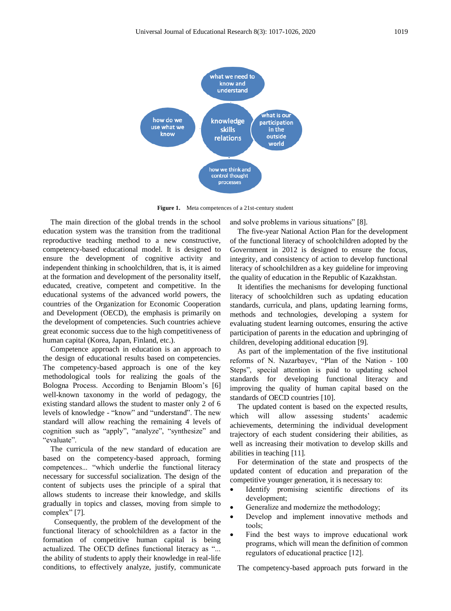

Figure 1. Meta competences of a 21st-century student

The main direction of the global trends in the school education system was the transition from the traditional reproductive teaching method to a new constructive, competency-based educational model. It is designed to ensure the development of cognitive activity and independent thinking in schoolchildren, that is, it is aimed at the formation and development of the personality itself, educated, creative, competent and competitive. In the educational systems of the advanced world powers, the countries of the Organization for Economic Cooperation and Development (OECD), the emphasis is primarily on the development of competencies. Such countries achieve great economic success due to the high competitiveness of human capital (Korea, Japan, Finland, etc.).

Competence approach in education is an approach to the design of educational results based on competencies. The competency-based approach is one of the key methodological tools for realizing the goals of the Bologna Process. According to Benjamin Bloom's [6] well-known taxonomy in the world of pedagogy, the existing standard allows the student to master only 2 of 6 levels of knowledge - "know" and "understand". The new standard will allow reaching the remaining 4 levels of cognition such as "apply", "analyze", "synthesize" and "evaluate".

The curricula of the new standard of education are based on the competency-based approach, forming competences... "which underlie the functional literacy necessary for successful socialization. The design of the content of subjects uses the principle of a spiral that allows students to increase their knowledge, and skills gradually in topics and classes, moving from simple to complex" [7].

Consequently, the problem of the development of the functional literacy of schoolchildren as a factor in the formation of competitive human capital is being actualized. The OECD defines functional literacy as "... the ability of students to apply their knowledge in real-life conditions, to effectively analyze, justify, communicate

and solve problems in various situations" [8].

The five-year National Action Plan for the development of the functional literacy of schoolchildren adopted by the Government in 2012 is designed to ensure the focus, integrity, and consistency of action to develop functional literacy of schoolchildren as a key guideline for improving the quality of education in the Republic of Kazakhstan.

It identifies the mechanisms for developing functional literacy of schoolchildren such as updating education standards, curricula, and plans, updating learning forms, methods and technologies, developing a system for evaluating student learning outcomes, ensuring the active participation of parents in the education and upbringing of children, developing additional education [9].

As part of the implementation of the five institutional reforms of N. Nazarbayev, "Plan of the Nation - 100 Steps", special attention is paid to updating school standards for developing functional literacy and improving the quality of human capital based on the standards of OECD countries [10].

The updated content is based on the expected results, which will allow assessing students' academic achievements, determining the individual development trajectory of each student considering their abilities, as well as increasing their motivation to develop skills and abilities in teaching [11].

For determination of the state and prospects of the updated content of education and preparation of the competitive younger generation, it is necessary to:

- Identify promising scientific directions of its development;
- Generalize and modernize the methodology;
- Develop and implement innovative methods and tools;
- Find the best ways to improve educational work programs, which will mean the definition of common regulators of educational practice [12].

The competency-based approach puts forward in the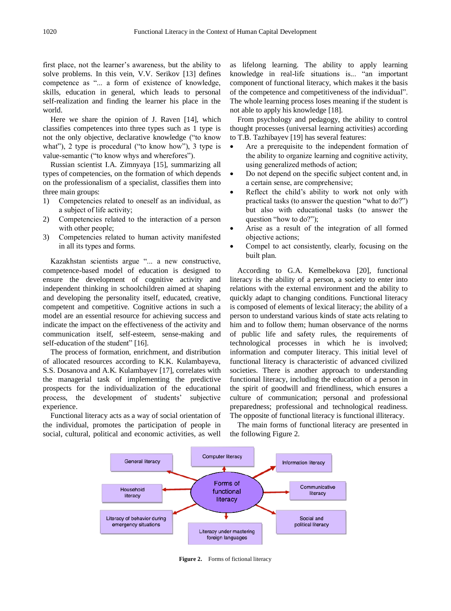first place, not the learner's awareness, but the ability to solve problems. In this vein, V.V. Serikov [13] defines competence as "... a form of existence of knowledge, skills, education in general, which leads to personal self-realization and finding the learner his place in the world.

Here we share the opinion of J. Raven [14], which classifies competences into three types such as 1 type is not the only objective, declarative knowledge ("to know what"), 2 type is procedural ("to know how"), 3 type is value-semantic ("to know whys and wherefores").

Russian scientist I.A. Zimnyaya [15], summarizing all types of competencies, on the formation of which depends on the professionalism of a specialist, classifies them into three main groups:

- 1) Competencies related to oneself as an individual, as a subject of life activity;
- 2) Competencies related to the interaction of a person with other people;
- 3) Competencies related to human activity manifested in all its types and forms.

Kazakhstan scientists argue "... a new constructive, competence-based model of education is designed to ensure the development of cognitive activity and independent thinking in schoolchildren aimed at shaping and developing the personality itself, educated, creative, competent and competitive. Cognitive actions in such a model are an essential resource for achieving success and indicate the impact on the effectiveness of the activity and communication itself, self-esteem, sense-making and self-education of the student" [16].

The process of formation, enrichment, and distribution of allocated resources according to K.K. Kulambayeva, S.S. Dosanova and A.K. Kulambayev [17], correlates with the managerial task of implementing the predictive prospects for the individualization of the educational process, the development of students' subjective experience.

Functional literacy acts as a way of social orientation of the individual, promotes the participation of people in social, cultural, political and economic activities, as well as lifelong learning. The ability to apply learning knowledge in real-life situations is... "an important component of functional literacy, which makes it the basis of the competence and competitiveness of the individual". The whole learning process loses meaning if the student is not able to apply his knowledge [18].

From psychology and pedagogy, the ability to control thought processes (universal learning activities) according to T.B. Tazhibayev [19] has several features:

- Are a prerequisite to the independent formation of the ability to organize learning and cognitive activity, using generalized methods of action;
- Do not depend on the specific subject content and, in a certain sense, are comprehensive;
- Reflect the child's ability to work not only with practical tasks (to answer the question "what to do?") but also with educational tasks (to answer the question "how to do?");
- Arise as a result of the integration of all formed objective actions;
- Compel to act consistently, clearly, focusing on the built plan.

According to G.A. Kemelbekova [20], functional literacy is the ability of a person, a society to enter into relations with the external environment and the ability to quickly adapt to changing conditions. Functional literacy is composed of elements of lexical literacy; the ability of a person to understand various kinds of state acts relating to him and to follow them; human observance of the norms of public life and safety rules, the requirements of technological processes in which he is involved; information and computer literacy. This initial level of functional literacy is characteristic of advanced civilized societies. There is another approach to understanding functional literacy, including the education of a person in the spirit of goodwill and friendliness, which ensures a culture of communication; personal and professional preparedness; professional and technological readiness. The opposite of functional literacy is functional illiteracy.

The main forms of functional literacy are presented in the following Figure 2.



**Figure 2.** Forms of fictional literacy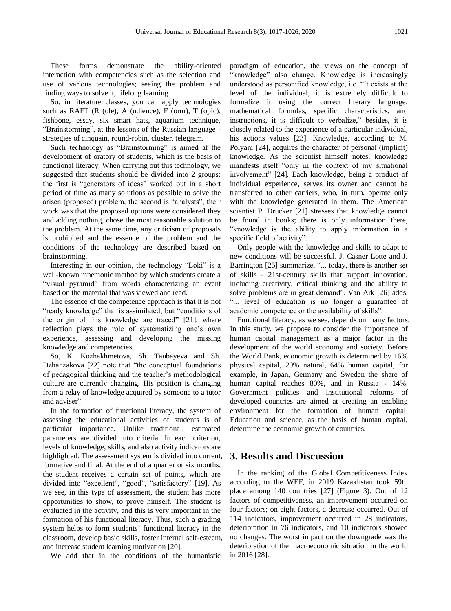These forms demonstrate the ability-oriented interaction with competencies such as the selection and use of various technologies; seeing the problem and finding ways to solve it; lifelong learning.

So, in literature classes, you can apply technologies such as RAFT (R (ole), A (udience), F (orm), T (opic), fishbone, essay, six smart hats, aquarium technique, "Brainstorming", at the lessons of the Russian language strategies of cinquain, round-robin, cluster, telegram.

Such technology as "Brainstorming" is aimed at the development of oratory of students, which is the basis of functional literacy. When carrying out this technology, we suggested that students should be divided into 2 groups: the first is "generators of ideas" worked out in a short period of time as many solutions as possible to solve the arisen (proposed) problem, the second is "analysts", their work was that the proposed options were considered they and adding nothing, chose the most reasonable solution to the problem. At the same time, any criticism of proposals is prohibited and the essence of the problem and the conditions of the technology are described based on brainstorming.

Interesting in our opinion, the technology "Loki" is a well-known mnemonic method by which students create a "visual pyramid" from words characterizing an event based on the material that was viewed and read.

The essence of the competence approach is that it is not "ready knowledge" that is assimilated, but "conditions of the origin of this knowledge are traced" [21], where reflection plays the role of systematizing one's own experience, assessing and developing the missing knowledge and competencies.

So, K. Kozhakhmetova, Sh. Taubayeva and Sh. Dzhanzakova [22] note that "the conceptual foundations of pedagogical thinking and the teacher's methodological culture are currently changing. His position is changing from a relay of knowledge acquired by someone to a tutor and adviser".

In the formation of functional literacy, the system of assessing the educational activities of students is of particular importance. Unlike traditional, estimated parameters are divided into criteria. In each criterion, levels of knowledge, skills, and also activity indicators are highlighted. The assessment system is divided into current, formative and final. At the end of a quarter or six months, the student receives a certain set of points, which are divided into "excellent", "good", "satisfactory" [19]. As we see, in this type of assessment, the student has more opportunities to show, to prove himself. The student is evaluated in the activity, and this is very important in the formation of his functional literacy. Thus, such a grading system helps to form students' functional literacy in the classroom, develop basic skills, foster internal self-esteem, and increase student learning motivation [20].

We add that in the conditions of the humanistic

paradigm of education, the views on the concept of "knowledge" also change. Knowledge is increasingly understood as personified knowledge, i.e. "It exists at the level of the individual, it is extremely difficult to formalize it using the correct literary language, mathematical formulas, specific characteristics, and instructions, it is difficult to verbalize," besides, it is closely related to the experience of a particular individual, his actions values [23]. Knowledge, according to M. Polyani [24], acquires the character of personal (implicit) knowledge. As the scientist himself notes, knowledge manifests itself "only in the context of my situational involvement" [24]. Each knowledge, being a product of individual experience, serves its owner and cannot be transferred to other carriers, who, in turn, operate only with the knowledge generated in them. The American scientist P. Drucker [21] stresses that knowledge cannot be found in books; there is only information there, "knowledge is the ability to apply information in a specific field of activity".

Only people with the knowledge and skills to adapt to new conditions will be successful. J. Casner Lotte and J. Barrington [25] summarize, "... today, there is another set of skills - 21st-century skills that support innovation, including creativity, critical thinking and the ability to solve problems are in great demand". Van Ark [26] adds, "... level of education is no longer a guarantee of academic competence or the availability of skills".

Functional literacy, as we see, depends on many factors. In this study, we propose to consider the importance of human capital management as a major factor in the development of the world economy and society. Before the World Bank, economic growth is determined by 16% physical capital, 20% natural, 64% human capital, for example, in Japan, Germany and Sweden the share of human capital reaches 80%, and in Russia - 14%. Government policies and institutional reforms of developed countries are aimed at creating an enabling environment for the formation of human capital. Education and science, as the basis of human capital, determine the economic growth of countries.

#### **3. Results and Discussion**

In the ranking of the Global Competitiveness Index according to the WEF, in 2019 Kazakhstan took 59th place among 140 countries [27] (Figure 3). Out of 12 factors of competitiveness, an improvement occurred on four factors; on eight factors, a decrease occurred. Out of 114 indicators, improvement occurred in 28 indicators, deterioration in 76 indicators, and 10 indicators showed no changes. The worst impact on the downgrade was the deterioration of the macroeconomic situation in the world in 2016 [28].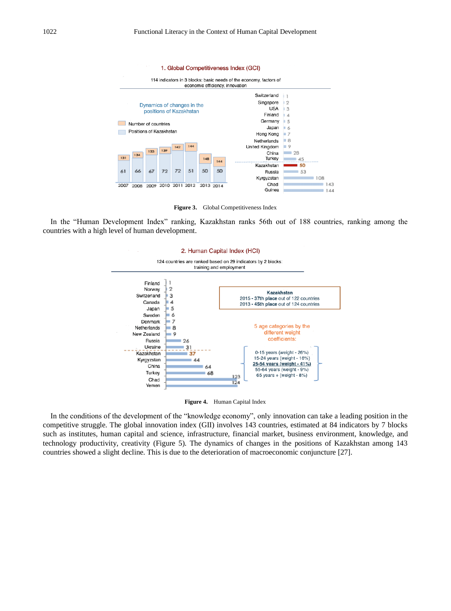

Figure 3. Global Competitiveness Index

In the "Human Development Index" ranking, Kazakhstan ranks 56th out of 188 countries, ranking among the countries with a high level of human development.





In the conditions of the development of the "knowledge economy", only innovation can take a leading position in the competitive struggle. The global innovation index (GII) involves 143 countries, estimated at 84 indicators by 7 blocks such as institutes, human capital and science, infrastructure, financial market, business environment, knowledge, and technology productivity, creativity (Figure 5). The dynamics of changes in the positions of Kazakhstan among 143 countries showed a slight decline. This is due to the deterioration of macroeconomic conjuncture [27].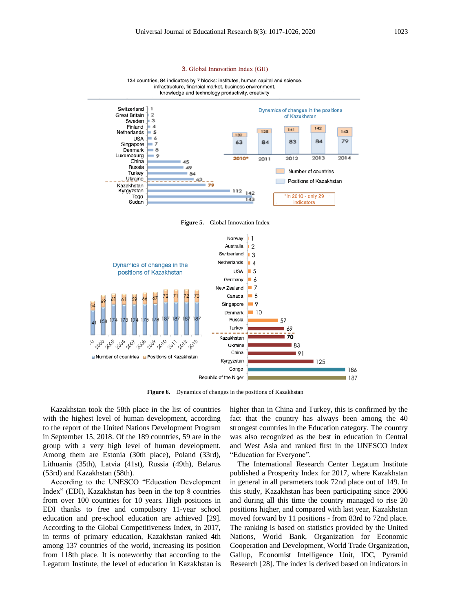

**Figure 5.** Global Innovation Index



**Figure 6.** Dynamics of changes in the positions of Kazakhstan

Kazakhstan took the 58th place in the list of countries with the highest level of human development, according to the report of the United Nations Development Program in September 15, 2018. Of the 189 countries, 59 are in the group with a very high level of human development. Among them are Estonia (30th place), Poland (33rd), Lithuania (35th), Latvia (41st), Russia (49th), Belarus (53rd) and Kazakhstan (58th).

According to the UNESCO "Education Development Index" (EDI), Kazakhstan has been in the top 8 countries from over 100 countries for 10 years. High positions in EDI thanks to free and compulsory 11-year school education and pre-school education are achieved [29]. According to the Global Competitiveness Index, in 2017, in terms of primary education, Kazakhstan ranked 4th among 137 countries of the world, increasing its position from 118th place. It is noteworthy that according to the Legatum Institute, the level of education in Kazakhstan is higher than in China and Turkey, this is confirmed by the fact that the country has always been among the 40 strongest countries in the Education category. The country was also recognized as the best in education in Central and West Asia and ranked first in the UNESCO index "Education for Everyone".

The International Research Center Legatum Institute published a Prosperity Index for 2017, where Kazakhstan in general in all parameters took 72nd place out of 149. In this study, Kazakhstan has been participating since 2006 and during all this time the country managed to rise 20 positions higher, and compared with last year, Kazakhstan moved forward by 11 positions - from 83rd to 72nd place. The ranking is based on statistics provided by the United Nations, World Bank, Organization for Economic Cooperation and Development, World Trade Organization, Gallup, Economist Intelligence Unit, IDC, Pyramid Research [28]. The index is derived based on indicators in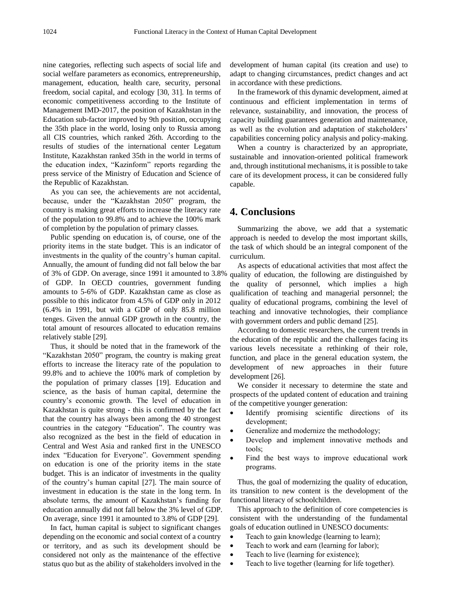nine categories, reflecting such aspects of social life and social welfare parameters as economics, entrepreneurship, management, education, health care, security, personal freedom, social capital, and ecology [30, 31]. In terms of economic competitiveness according to the Institute of Management IMD-2017, the position of Kazakhstan in the Education sub-factor improved by 9th position, occupying the 35th place in the world, losing only to Russia among all CIS countries, which ranked 26th. According to the results of studies of the international center Legatum Institute, Kazakhstan ranked 35th in the world in terms of the education index, "Kazinform" reports regarding the press service of the Ministry of Education and Science of the Republic of Kazakhstan.

As you can see, the achievements are not accidental, because, under the "Kazakhstan 2050" program, the country is making great efforts to increase the literacy rate of the population to 99.8% and to achieve the 100% mark of completion by the population of primary classes.

Public spending on education is, of course, one of the priority items in the state budget. This is an indicator of investments in the quality of the country's human capital. Annually, the amount of funding did not fall below the bar of 3% of GDP. On average, since 1991 it amounted to 3.8% of GDP. In OECD countries, government funding amounts to 5-6% of GDP. Kazakhstan came as close as possible to this indicator from 4.5% of GDP only in 2012 (6.4% in 1991, but with a GDP of only 85.8 million tenges. Given the annual GDP growth in the country, the total amount of resources allocated to education remains relatively stable [29].

Thus, it should be noted that in the framework of the "Kazakhstan 2050" program, the country is making great efforts to increase the literacy rate of the population to 99.8% and to achieve the 100% mark of completion by the population of primary classes [19]. Education and science, as the basis of human capital, determine the country's economic growth. The level of education in Kazakhstan is quite strong - this is confirmed by the fact that the country has always been among the 40 strongest countries in the category "Education". The country was also recognized as the best in the field of education in Central and West Asia and ranked first in the UNESCO index "Education for Everyone". Government spending on education is one of the priority items in the state budget. This is an indicator of investments in the quality of the country's human capital [27]. The main source of investment in education is the state in the long term. In absolute terms, the amount of Kazakhstan's funding for education annually did not fall below the 3% level of GDP. On average, since 1991 it amounted to 3.8% of GDP [29].

In fact, human capital is subject to significant changes depending on the economic and social context of a country or territory, and as such its development should be considered not only as the maintenance of the effective status quo but as the ability of stakeholders involved in the development of human capital (its creation and use) to adapt to changing circumstances, predict changes and act in accordance with these predictions.

In the framework of this dynamic development, aimed at continuous and efficient implementation in terms of relevance, sustainability, and innovation, the process of capacity building guarantees generation and maintenance, as well as the evolution and adaptation of stakeholders' capabilities concerning policy analysis and policy-making.

When a country is characterized by an appropriate, sustainable and innovation-oriented political framework and, through institutional mechanisms, it is possible to take care of its development process, it can be considered fully capable.

#### **4. Conclusions**

Summarizing the above, we add that a systematic approach is needed to develop the most important skills, the task of which should be an integral component of the curriculum.

As aspects of educational activities that most affect the quality of education, the following are distinguished by the quality of personnel, which implies a high qualification of teaching and managerial personnel; the quality of educational programs, combining the level of teaching and innovative technologies, their compliance with government orders and public demand [25].

According to domestic researchers, the current trends in the education of the republic and the challenges facing its various levels necessitate a rethinking of their role, function, and place in the general education system, the development of new approaches in their future development [26].

We consider it necessary to determine the state and prospects of the updated content of education and training of the competitive younger generation:

- Identify promising scientific directions of its development;
- Generalize and modernize the methodology;
- Develop and implement innovative methods and tools;
- Find the best ways to improve educational work programs.

Thus, the goal of modernizing the quality of education, its transition to new content is the development of the functional literacy of schoolchildren.

This approach to the definition of core competencies is consistent with the understanding of the fundamental goals of education outlined in UNESCO documents:

- Teach to gain knowledge (learning to learn);
- Teach to work and earn (learning for labor);
- Teach to live (learning for existence);
- Teach to live together (learning for life together).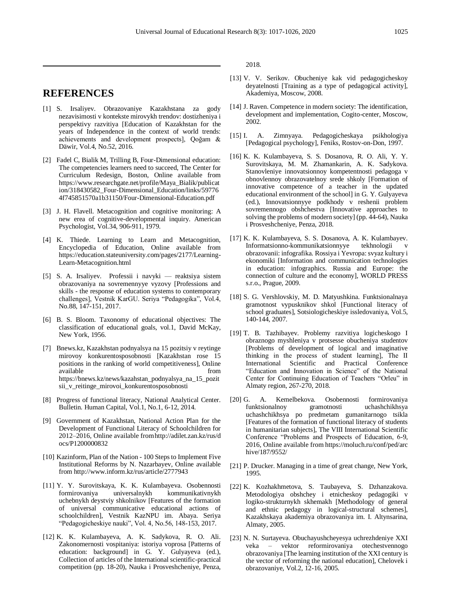### **REFERENCES**

- [1] S. Irsaliyev. Obrazovaniye Kazakhstana za gody nezavisimosti v kontekste mirovykh trendov: dostizheniya i perspektivy razvitiya [Education of Kazakhstan for the years of Independence in the context of world trends: achievements and development prospects], Qoğam & Däwir, Vol.4, No.52, 2016.
- [2] Fadel C, Bialik M, Trilling B, Four-Dimensional education: The competencies learners need to succeed, The Center for Curriculum Redesign, Boston, Online available from https://www.researchgate.net/profile/Maya\_Bialik/publicat ion/318430582\_Four-Dimensional\_Education/links/59776 4f745851570a1b31150/Four-Dimensional-Education.pdf
- [3] J. H. Flavell. Metacognition and cognitive monitoring: A new erea of cognitive-developmental inquiry. American Psychologist, Vol.34, 906-911, 1979.
- [4] K. Thiede. Learning to Learn and Metacognition, Encyclopedia of Education, Online available from https://education.stateuniversity.com/pages/2177/Learning-Learn-Metacognition.html
- [5] S. A. Irsaliyev. Professii i navyki reaktsiya sistem obrazovaniya na sovremennyye vyzovy [Professions and skills - the response of education systems to contemporary challenges], Vestnik KarGU. Seriya "Pedagogika", Vol.4, No.88, 147-151, 2017.
- [6] B. S. Bloom. Taxonomy of educational objectives: The classification of educational goals, vol.1, David McKay, New York, 1956.
- [7] Bnews.kz, Kazakhstan podnyalsya na 15 pozitsiy v reytinge mirovoy konkurentosposobnosti [Kazakhstan rose 15 positions in the ranking of world competitiveness], Online available from  $\sim$ https://bnews.kz/news/kazahstan\_podnyalsya\_na\_15\_pozit sii\_v\_reitinge\_mirovoi\_konkurentosposobnosti
- [8] Progress of functional literacy, National Analytical Center. Bulletin. Human Capital, Vol.1, No.1, 6-12, 2014.
- [9] Government of Kazakhstan, National Action Plan for the Development of Functional Literacy of Schoolchildren for 2012–2016, Online available fromhttp://adilet.zan.kz/rus/d ocs/P1200000832
- [10] Kazinform, Plan of the Nation 100 Steps to Implement Five Institutional Reforms by N. Nazarbayev, Online available from http://www.inform.kz/rus/article/2777943
- [11] Y. Y. Surovitskaya, K. K. Kulambayeva. Osobennosti formirovaniya universalnykh kommunikativnykh uchebnykh deystviy shkolnikov [Features of the formation of universal communicative educational actions of schoolchildren], Vestnik KazNPU im. Abaya. Seriya "Pedagogicheskiye nauki", Vol. 4, No.56, 148-153, 2017.
- [12] K. K. Kulambayeva, A. K. Sadykova, R. O. Ali. Zakonomernosti vospitaniya: istoriya voprosa [Patterns of education: background] in G. Y. Gulyayeva (ed.), Collection of articles of the International scientific-practical competition (pp. 18-20), Nauka i Prosveshcheniye, Penza,

2018.

- [13] V. V. Serikov. Obucheniye kak vid pedagogicheskoy deyatelnosti [Training as a type of pedagogical activity], Akademiya, Moscow, 2008.
- [14] J. Raven. Competence in modern society: The identification, development and implementation, Cogito-center, Moscow, 2002.
- [15] I. A. Zimnyaya. Pedagogicheskaya psikhologiya [Pedagogical psychology], Feniks, Rostov-on-Don, 1997.
- [16] K. K. Kulambayeva, S. S. Dosanova, R. O. Ali, Y. Y. Surovitskaya, M. M. Zhamankarin, A. K. Sadykova. Stanovleniye innovatsionnoy kompetentnosti pedagoga v obnovlennoy obrazovatelnoy srede shkoly [Formation of innovative competence of a teacher in the updated educational environment of the school] in G. Y. Gulyayeva (ed.), Innovatsionnyye podkhody v reshenii problem sovremennogo obshchestva [Innovative approaches to solving the problems of modern society] (pp. 44-64), Nauka i Prosveshcheniye, Penza, 2018.
- [17] K. K. Kulambayeva, S. S. Dosanova, A. K. Kulambayev. Informatsionno-kommunikatsionnyye tekhnologii obrazovanii: infografika. Rossiya i Yevropa: svyaz kultury i ekonomiki [Information and communication technologies in education: infographics. Russia and Europe: the connection of culture and the economy], WORLD PRESS s.r.o., Prague, 2009.
- [18] S. G. Vershlovskiy, M. D. Matyushkina. Funktsionalnaya gramotnost vypusknikov shkol [Functional literacy of school graduates], Sotsiologicheskiye issledovaniya, Vol.5, 140-144, 2007.
- [19] T. B. Tazhibayev. Problemy razvitiya logicheskogo I obraznogo myshleniya v protsesse obucheniya studentov [Problems of development of logical and imaginative thinking in the process of student learning], The ІІ International Scientific and Practical Conference "Education and Innovation in Science" of the National Center for Continuing Education of Teachers "Orleu" in Almaty region, 267-270, 2018.
- [20] G. A. Kemelbekova. Osobennosti formirovaniya funktsionalnoy gramotnosti uchashchikhsya uchashchikhsya po predmetam gumanitarnogo tsikla [Features of the formation of functional literacy of students in humanitarian subjects], The VIII International Scientific Conference "Problems and Prospects of Education, 6-9, 2016, Online available from https://moluch.ru/conf/ped/arc hive/187/9552/
- [21] P. Drucker. Managing in a time of great change, New York, 1995.
- [22] K. Kozhakhmetova, S. Taubayeva, S. Dzhanzakova. Metodologiya obshchey i etnicheskoy pedagogiki v logiko-strukturnykh skhemakh [Methodology of general and ethnic pedagogy in logical-structural schemes], Kazakhskaya akademiya obrazovaniya im. I. Altynsarina, Almaty, 2005.
- [23] N. N. Surtayeva. Obuchayushcheyesya uchrezhdeniye XXI veka – vektor reformirovaniya otechestvennogo obrazovaniya [The learning institution of the XXI century is the vector of reforming the national education], Chelovek i obrazovaniye, Vol.2, 12-16, 2005.